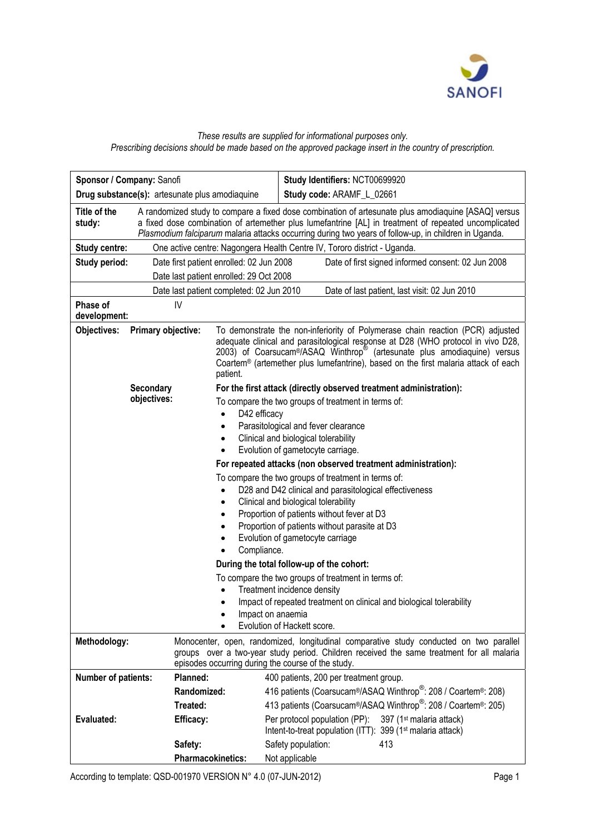

## *These results are supplied for informational purposes only. Prescribing decisions should be made based on the approved package insert in the country of prescription.*

|                                                                                           | Sponsor / Company: Sanofi                                                                                                                                                                                                                 |                                                                                                                                                                                                                                                                                                                                                                          | Study Identifiers: NCT00699920                                                                                                                  |  |  |  |  |  |  |
|-------------------------------------------------------------------------------------------|-------------------------------------------------------------------------------------------------------------------------------------------------------------------------------------------------------------------------------------------|--------------------------------------------------------------------------------------------------------------------------------------------------------------------------------------------------------------------------------------------------------------------------------------------------------------------------------------------------------------------------|-------------------------------------------------------------------------------------------------------------------------------------------------|--|--|--|--|--|--|
| Drug substance(s): artesunate plus amodiaquine                                            |                                                                                                                                                                                                                                           |                                                                                                                                                                                                                                                                                                                                                                          | Study code: ARAMF_L_02661                                                                                                                       |  |  |  |  |  |  |
| Title of the<br>study:                                                                    | A randomized study to compare a fixed dose combination of artesunate plus amodiaquine [ASAQ] versus<br>a fixed dose combination of artemether plus lumefantrine [AL] in treatment of repeated uncomplicated                               |                                                                                                                                                                                                                                                                                                                                                                          |                                                                                                                                                 |  |  |  |  |  |  |
|                                                                                           | Plasmodium falciparum malaria attacks occurring during two years of follow-up, in children in Uganda.                                                                                                                                     |                                                                                                                                                                                                                                                                                                                                                                          |                                                                                                                                                 |  |  |  |  |  |  |
| <b>Study centre:</b>                                                                      | One active centre: Nagongera Health Centre IV, Tororo district - Uganda.                                                                                                                                                                  |                                                                                                                                                                                                                                                                                                                                                                          |                                                                                                                                                 |  |  |  |  |  |  |
| Study period:                                                                             | Date first patient enrolled: 02 Jun 2008<br>Date of first signed informed consent: 02 Jun 2008                                                                                                                                            |                                                                                                                                                                                                                                                                                                                                                                          |                                                                                                                                                 |  |  |  |  |  |  |
| Date last patient enrolled: 29 Oct 2008                                                   |                                                                                                                                                                                                                                           |                                                                                                                                                                                                                                                                                                                                                                          |                                                                                                                                                 |  |  |  |  |  |  |
| Date last patient completed: 02 Jun 2010<br>Date of last patient, last visit: 02 Jun 2010 |                                                                                                                                                                                                                                           |                                                                                                                                                                                                                                                                                                                                                                          |                                                                                                                                                 |  |  |  |  |  |  |
| Phase of<br>development:                                                                  | IV                                                                                                                                                                                                                                        |                                                                                                                                                                                                                                                                                                                                                                          |                                                                                                                                                 |  |  |  |  |  |  |
| Objectives:                                                                               | Primary objective:                                                                                                                                                                                                                        | To demonstrate the non-inferiority of Polymerase chain reaction (PCR) adjusted<br>adequate clinical and parasitological response at D28 (WHO protocol in vivo D28,<br>2003) of Coarsucam <sup>®</sup> /ASAQ Winthrop <sup>®</sup> (artesunate plus amodiaquine) versus<br>Coartem® (artemether plus lumefantrine), based on the first malaria attack of each<br>patient. |                                                                                                                                                 |  |  |  |  |  |  |
|                                                                                           | For the first attack (directly observed treatment administration):                                                                                                                                                                        |                                                                                                                                                                                                                                                                                                                                                                          |                                                                                                                                                 |  |  |  |  |  |  |
|                                                                                           | objectives:                                                                                                                                                                                                                               |                                                                                                                                                                                                                                                                                                                                                                          | To compare the two groups of treatment in terms of:                                                                                             |  |  |  |  |  |  |
|                                                                                           |                                                                                                                                                                                                                                           | D42 efficacy                                                                                                                                                                                                                                                                                                                                                             |                                                                                                                                                 |  |  |  |  |  |  |
|                                                                                           |                                                                                                                                                                                                                                           | Parasitological and fever clearance<br>$\bullet$<br>Clinical and biological tolerability<br>$\bullet$                                                                                                                                                                                                                                                                    |                                                                                                                                                 |  |  |  |  |  |  |
|                                                                                           |                                                                                                                                                                                                                                           | Evolution of gametocyte carriage.<br>٠                                                                                                                                                                                                                                                                                                                                   |                                                                                                                                                 |  |  |  |  |  |  |
|                                                                                           |                                                                                                                                                                                                                                           | For repeated attacks (non observed treatment administration):                                                                                                                                                                                                                                                                                                            |                                                                                                                                                 |  |  |  |  |  |  |
|                                                                                           |                                                                                                                                                                                                                                           | To compare the two groups of treatment in terms of:<br>D28 and D42 clinical and parasitological effectiveness<br>Clinical and biological tolerability<br>٠<br>Proportion of patients without fever at D3<br>$\bullet$<br>Proportion of patients without parasite at D3<br>$\bullet$<br>Evolution of gametocyte carriage<br>٠<br>Compliance.                              |                                                                                                                                                 |  |  |  |  |  |  |
|                                                                                           |                                                                                                                                                                                                                                           |                                                                                                                                                                                                                                                                                                                                                                          | During the total follow-up of the cohort:                                                                                                       |  |  |  |  |  |  |
| To compare the two groups of treatment in terms of:                                       |                                                                                                                                                                                                                                           |                                                                                                                                                                                                                                                                                                                                                                          |                                                                                                                                                 |  |  |  |  |  |  |
|                                                                                           |                                                                                                                                                                                                                                           |                                                                                                                                                                                                                                                                                                                                                                          | Treatment incidence density                                                                                                                     |  |  |  |  |  |  |
|                                                                                           |                                                                                                                                                                                                                                           |                                                                                                                                                                                                                                                                                                                                                                          | Impact of repeated treatment on clinical and biological tolerability                                                                            |  |  |  |  |  |  |
|                                                                                           |                                                                                                                                                                                                                                           | Impact on anaemia                                                                                                                                                                                                                                                                                                                                                        | Evolution of Hackett score.                                                                                                                     |  |  |  |  |  |  |
| Methodology:                                                                              | Monocenter, open, randomized, longitudinal comparative study conducted on two parallel<br>groups over a two-year study period. Children received the same treatment for all malaria<br>episodes occurring during the course of the study. |                                                                                                                                                                                                                                                                                                                                                                          |                                                                                                                                                 |  |  |  |  |  |  |
| Number of patients:                                                                       | Planned:                                                                                                                                                                                                                                  |                                                                                                                                                                                                                                                                                                                                                                          | 400 patients, 200 per treatment group.                                                                                                          |  |  |  |  |  |  |
|                                                                                           | Randomized:                                                                                                                                                                                                                               |                                                                                                                                                                                                                                                                                                                                                                          | 416 patients (Coarsucam®/ASAQ Winthrop®: 208 / Coartem®: 208)                                                                                   |  |  |  |  |  |  |
|                                                                                           | Treated:                                                                                                                                                                                                                                  |                                                                                                                                                                                                                                                                                                                                                                          | 413 patients (Coarsucam <sup>®</sup> /ASAQ Winthrop®: 208 / Coartem®: 205)                                                                      |  |  |  |  |  |  |
| Evaluated:                                                                                | <b>Efficacy:</b>                                                                                                                                                                                                                          |                                                                                                                                                                                                                                                                                                                                                                          | Per protocol population (PP):<br>397 (1 <sup>st</sup> malaria attack)<br>Intent-to-treat population (ITT): 399 (1 <sup>st</sup> malaria attack) |  |  |  |  |  |  |
|                                                                                           | Safety:                                                                                                                                                                                                                                   |                                                                                                                                                                                                                                                                                                                                                                          | Safety population:<br>413                                                                                                                       |  |  |  |  |  |  |
|                                                                                           |                                                                                                                                                                                                                                           | <b>Pharmacokinetics:</b>                                                                                                                                                                                                                                                                                                                                                 | Not applicable                                                                                                                                  |  |  |  |  |  |  |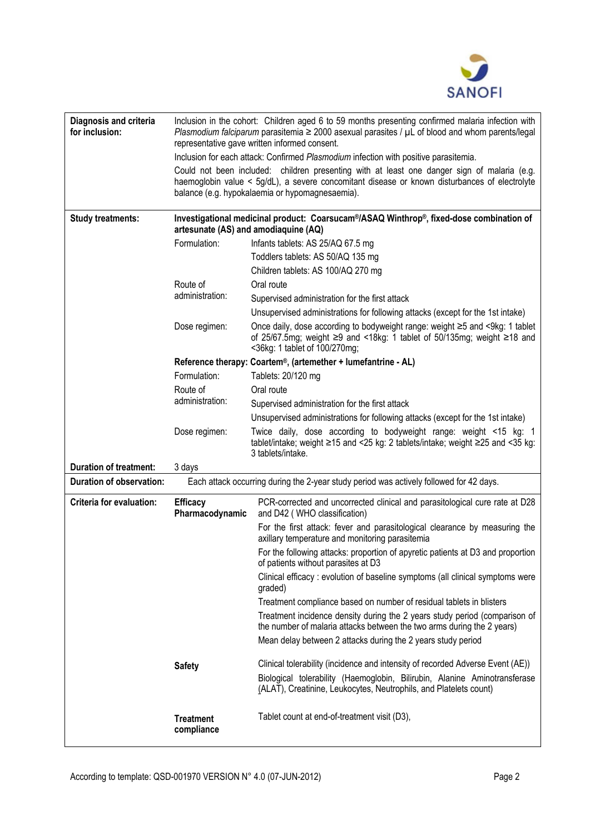

| Diagnosis and criteria<br>for inclusion: | Inclusion in the cohort: Children aged 6 to 59 months presenting confirmed malaria infection with<br>Plasmodium falciparum parasitemia $\geq$ 2000 asexual parasites / $\mu$ L of blood and whom parents/legal<br>representative gave written informed consent.                                                                         |                                                                                                                                                                                                      |  |  |  |  |  |  |  |  |  |
|------------------------------------------|-----------------------------------------------------------------------------------------------------------------------------------------------------------------------------------------------------------------------------------------------------------------------------------------------------------------------------------------|------------------------------------------------------------------------------------------------------------------------------------------------------------------------------------------------------|--|--|--|--|--|--|--|--|--|
|                                          | Inclusion for each attack: Confirmed Plasmodium infection with positive parasitemia.<br>Could not been included: children presenting with at least one danger sign of malaria (e.g.<br>haemoglobin value < 5g/dL), a severe concomitant disease or known disturbances of electrolyte<br>balance (e.g. hypokalaemia or hypomagnesaemia). |                                                                                                                                                                                                      |  |  |  |  |  |  |  |  |  |
| <b>Study treatments:</b>                 | Investigational medicinal product: Coarsucam <sup>®</sup> /ASAQ Winthrop®, fixed-dose combination of<br>artesunate (AS) and amodiaquine (AQ)                                                                                                                                                                                            |                                                                                                                                                                                                      |  |  |  |  |  |  |  |  |  |
|                                          | Formulation:                                                                                                                                                                                                                                                                                                                            | Infants tablets: AS 25/AQ 67.5 mg                                                                                                                                                                    |  |  |  |  |  |  |  |  |  |
|                                          |                                                                                                                                                                                                                                                                                                                                         | Toddlers tablets: AS 50/AQ 135 mg                                                                                                                                                                    |  |  |  |  |  |  |  |  |  |
|                                          |                                                                                                                                                                                                                                                                                                                                         | Children tablets: AS 100/AQ 270 mg                                                                                                                                                                   |  |  |  |  |  |  |  |  |  |
|                                          | Route of                                                                                                                                                                                                                                                                                                                                | Oral route                                                                                                                                                                                           |  |  |  |  |  |  |  |  |  |
|                                          | administration:                                                                                                                                                                                                                                                                                                                         | Supervised administration for the first attack                                                                                                                                                       |  |  |  |  |  |  |  |  |  |
|                                          |                                                                                                                                                                                                                                                                                                                                         | Unsupervised administrations for following attacks (except for the 1st intake)                                                                                                                       |  |  |  |  |  |  |  |  |  |
|                                          | Dose regimen:                                                                                                                                                                                                                                                                                                                           | Once daily, dose according to bodyweight range: weight ≥5 and <9kg: 1 tablet<br>of 25/67.5mg; weight $\geq$ 9 and <18kg: 1 tablet of 50/135mg; weight $\geq$ 18 and<br><36kg: 1 tablet of 100/270mg; |  |  |  |  |  |  |  |  |  |
|                                          |                                                                                                                                                                                                                                                                                                                                         | Reference therapy: Coartem®, (artemether + lumefantrine - AL)                                                                                                                                        |  |  |  |  |  |  |  |  |  |
|                                          | Formulation:                                                                                                                                                                                                                                                                                                                            | Tablets: 20/120 mg                                                                                                                                                                                   |  |  |  |  |  |  |  |  |  |
|                                          | Route of                                                                                                                                                                                                                                                                                                                                | Oral route                                                                                                                                                                                           |  |  |  |  |  |  |  |  |  |
|                                          | administration:                                                                                                                                                                                                                                                                                                                         | Supervised administration for the first attack                                                                                                                                                       |  |  |  |  |  |  |  |  |  |
|                                          |                                                                                                                                                                                                                                                                                                                                         | Unsupervised administrations for following attacks (except for the 1st intake)                                                                                                                       |  |  |  |  |  |  |  |  |  |
|                                          | Dose regimen:                                                                                                                                                                                                                                                                                                                           | Twice daily, dose according to bodyweight range: weight <15 kg: 1<br>tablet/intake; weight ≥15 and <25 kg: 2 tablets/intake; weight ≥25 and <35 kg:<br>3 tablets/intake.                             |  |  |  |  |  |  |  |  |  |
| <b>Duration of treatment:</b>            | 3 days                                                                                                                                                                                                                                                                                                                                  |                                                                                                                                                                                                      |  |  |  |  |  |  |  |  |  |
| <b>Duration of observation:</b>          |                                                                                                                                                                                                                                                                                                                                         | Each attack occurring during the 2-year study period was actively followed for 42 days.                                                                                                              |  |  |  |  |  |  |  |  |  |
| Criteria for evaluation:                 | <b>Efficacy</b><br>Pharmacodynamic                                                                                                                                                                                                                                                                                                      | PCR-corrected and uncorrected clinical and parasitological cure rate at D28<br>and D42 (WHO classification)                                                                                          |  |  |  |  |  |  |  |  |  |
|                                          |                                                                                                                                                                                                                                                                                                                                         | For the first attack: fever and parasitological clearance by measuring the<br>axillary temperature and monitoring parasitemia                                                                        |  |  |  |  |  |  |  |  |  |
|                                          |                                                                                                                                                                                                                                                                                                                                         | For the following attacks: proportion of apyretic patients at D3 and proportion<br>of patients without parasites at D3                                                                               |  |  |  |  |  |  |  |  |  |
|                                          |                                                                                                                                                                                                                                                                                                                                         | Clinical efficacy : evolution of baseline symptoms (all clinical symptoms were<br>graded)                                                                                                            |  |  |  |  |  |  |  |  |  |
|                                          |                                                                                                                                                                                                                                                                                                                                         | Treatment compliance based on number of residual tablets in blisters                                                                                                                                 |  |  |  |  |  |  |  |  |  |
|                                          |                                                                                                                                                                                                                                                                                                                                         | Treatment incidence density during the 2 years study period (comparison of<br>the number of malaria attacks between the two arms during the 2 years)                                                 |  |  |  |  |  |  |  |  |  |
|                                          |                                                                                                                                                                                                                                                                                                                                         | Mean delay between 2 attacks during the 2 years study period                                                                                                                                         |  |  |  |  |  |  |  |  |  |
|                                          | <b>Safety</b>                                                                                                                                                                                                                                                                                                                           | Clinical tolerability (incidence and intensity of recorded Adverse Event (AE))                                                                                                                       |  |  |  |  |  |  |  |  |  |
|                                          |                                                                                                                                                                                                                                                                                                                                         | Biological tolerability (Haemoglobin, Bilirubin, Alanine Aminotransferase<br>(ALAT), Creatinine, Leukocytes, Neutrophils, and Platelets count)                                                       |  |  |  |  |  |  |  |  |  |
|                                          | <b>Treatment</b><br>compliance                                                                                                                                                                                                                                                                                                          | Tablet count at end-of-treatment visit (D3),                                                                                                                                                         |  |  |  |  |  |  |  |  |  |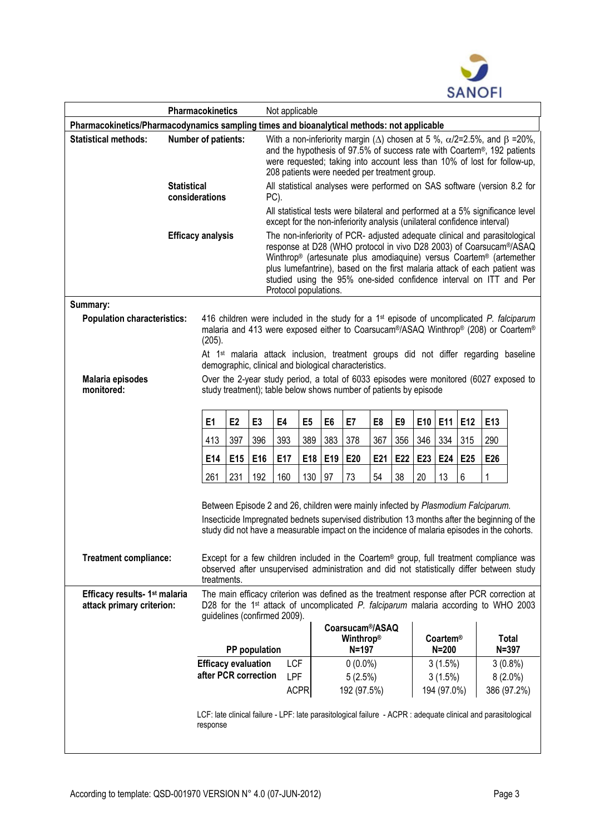

| <b>Pharmacokinetics</b>                                                                    |                                                                                                                                                                                                                                                                                  |                |                                                                                                                                                                                            | Not applicable                                                                                                                                                                                                                                                                                                                                                                                      |                |                                                        |     |                |         |                       |     |            |                    |  |
|--------------------------------------------------------------------------------------------|----------------------------------------------------------------------------------------------------------------------------------------------------------------------------------------------------------------------------------------------------------------------------------|----------------|--------------------------------------------------------------------------------------------------------------------------------------------------------------------------------------------|-----------------------------------------------------------------------------------------------------------------------------------------------------------------------------------------------------------------------------------------------------------------------------------------------------------------------------------------------------------------------------------------------------|----------------|--------------------------------------------------------|-----|----------------|---------|-----------------------|-----|------------|--------------------|--|
| Pharmacokinetics/Pharmacodynamics sampling times and bioanalytical methods: not applicable |                                                                                                                                                                                                                                                                                  |                |                                                                                                                                                                                            |                                                                                                                                                                                                                                                                                                                                                                                                     |                |                                                        |     |                |         |                       |     |            |                    |  |
| <b>Statistical methods:</b>                                                                | Number of patients:                                                                                                                                                                                                                                                              |                |                                                                                                                                                                                            | With a non-inferiority margin ( $\Delta$ ) chosen at 5 %, $\alpha/2$ =2.5%, and $\beta$ =20%,<br>and the hypothesis of 97.5% of success rate with Coartem®, 192 patients<br>were requested; taking into account less than 10% of lost for follow-up,<br>208 patients were needed per treatment group.                                                                                               |                |                                                        |     |                |         |                       |     |            |                    |  |
|                                                                                            | <b>Statistical</b><br>considerations                                                                                                                                                                                                                                             |                |                                                                                                                                                                                            | All statistical analyses were performed on SAS software (version 8.2 for<br>PC).                                                                                                                                                                                                                                                                                                                    |                |                                                        |     |                |         |                       |     |            |                    |  |
|                                                                                            |                                                                                                                                                                                                                                                                                  |                |                                                                                                                                                                                            | All statistical tests were bilateral and performed at a 5% significance level<br>except for the non-inferiority analysis (unilateral confidence interval)                                                                                                                                                                                                                                           |                |                                                        |     |                |         |                       |     |            |                    |  |
| <b>Efficacy analysis</b>                                                                   |                                                                                                                                                                                                                                                                                  |                |                                                                                                                                                                                            | The non-inferiority of PCR- adjusted adequate clinical and parasitological<br>response at D28 (WHO protocol in vivo D28 2003) of Coarsucam®/ASAQ<br>Winthrop® (artesunate plus amodiaquine) versus Coartem® (artemether<br>plus lumefantrine), based on the first malaria attack of each patient was<br>studied using the 95% one-sided confidence interval on ITT and Per<br>Protocol populations. |                |                                                        |     |                |         |                       |     |            |                    |  |
| Summary:                                                                                   |                                                                                                                                                                                                                                                                                  |                |                                                                                                                                                                                            |                                                                                                                                                                                                                                                                                                                                                                                                     |                |                                                        |     |                |         |                       |     |            |                    |  |
| <b>Population characteristics:</b><br>(205).                                               |                                                                                                                                                                                                                                                                                  |                | 416 children were included in the study for a 1 <sup>st</sup> episode of uncomplicated P. falciparum<br>malaria and 413 were exposed either to Coarsucam®/ASAQ Winthrop® (208) or Coartem® |                                                                                                                                                                                                                                                                                                                                                                                                     |                |                                                        |     |                |         |                       |     |            |                    |  |
|                                                                                            | At 1 <sup>st</sup> malaria attack inclusion, treatment groups did not differ regarding baseline<br>demographic, clinical and biological characteristics.                                                                                                                         |                |                                                                                                                                                                                            |                                                                                                                                                                                                                                                                                                                                                                                                     |                |                                                        |     |                |         |                       |     |            |                    |  |
| Malaria episodes<br>monitored:                                                             | Over the 2-year study period, a total of 6033 episodes were monitored (6027 exposed to<br>study treatment); table below shows number of patients by episode                                                                                                                      |                |                                                                                                                                                                                            |                                                                                                                                                                                                                                                                                                                                                                                                     |                |                                                        |     |                |         |                       |     |            |                    |  |
|                                                                                            | E <sub>1</sub>                                                                                                                                                                                                                                                                   | E <sub>2</sub> | E <sub>3</sub>                                                                                                                                                                             | E4                                                                                                                                                                                                                                                                                                                                                                                                  | E <sub>5</sub> | E <sub>6</sub>                                         | E7  | E <sub>8</sub> | E9      | E10                   | E11 | E12        | E13                |  |
|                                                                                            | 413                                                                                                                                                                                                                                                                              | 397            | 396                                                                                                                                                                                        | 393                                                                                                                                                                                                                                                                                                                                                                                                 | 389            | 383                                                    | 378 | 367            | 356     | 346                   | 334 | 315        | 290                |  |
|                                                                                            | E14                                                                                                                                                                                                                                                                              | E15            | E16                                                                                                                                                                                        | E17                                                                                                                                                                                                                                                                                                                                                                                                 | E18            | E19                                                    | E20 | E21            | E22     | E23                   | E24 | E25        | E26                |  |
|                                                                                            | 261                                                                                                                                                                                                                                                                              | 231            | 192                                                                                                                                                                                        | 160                                                                                                                                                                                                                                                                                                                                                                                                 | 130            | 97                                                     | 73  | 54             | 38      | 20                    | 13  | 6          | 1                  |  |
|                                                                                            | Between Episode 2 and 26, children were mainly infected by Plasmodium Falciparum.<br>Insecticide Impregnated bednets supervised distribution 13 months after the beginning of the<br>study did not have a measurable impact on the incidence of malaria episodes in the cohorts. |                |                                                                                                                                                                                            |                                                                                                                                                                                                                                                                                                                                                                                                     |                |                                                        |     |                |         |                       |     |            |                    |  |
| <b>Treatment compliance:</b>                                                               | Except for a few children included in the Coartem <sup>®</sup> group, full treatment compliance was<br>observed after unsupervised administration and did not statistically differ between study<br>treatments.                                                                  |                |                                                                                                                                                                                            |                                                                                                                                                                                                                                                                                                                                                                                                     |                |                                                        |     |                |         |                       |     |            |                    |  |
| Efficacy results- 1 <sup>st</sup> malaria<br>attack primary criterion:                     | The main efficacy criterion was defined as the treatment response after PCR correction at<br>D28 for the 1 <sup>st</sup> attack of uncomplicated P. falciparum malaria according to WHO 2003<br>guidelines (confirmed 2009).                                                     |                |                                                                                                                                                                                            |                                                                                                                                                                                                                                                                                                                                                                                                     |                |                                                        |     |                |         |                       |     |            |                    |  |
|                                                                                            | PP population                                                                                                                                                                                                                                                                    |                |                                                                                                                                                                                            |                                                                                                                                                                                                                                                                                                                                                                                                     |                | Coarsucam <sup>®</sup> /ASAQ<br>Winthrop®<br>$N = 197$ |     |                |         | Coartem®<br>$N = 200$ |     |            | Total<br>$N = 397$ |  |
|                                                                                            | <b>Efficacy evaluation</b>                                                                                                                                                                                                                                                       |                |                                                                                                                                                                                            | <b>LCF</b>                                                                                                                                                                                                                                                                                                                                                                                          | $0(0.0\%)$     |                                                        |     |                | 3(1.5%) |                       |     | $3(0.8\%)$ |                    |  |
|                                                                                            | after PCR correction                                                                                                                                                                                                                                                             |                |                                                                                                                                                                                            | <b>LPF</b>                                                                                                                                                                                                                                                                                                                                                                                          |                | 5(2.5%)                                                |     |                |         | $3(1.5\%)$            |     |            | $8(2.0\%)$         |  |
|                                                                                            |                                                                                                                                                                                                                                                                                  |                |                                                                                                                                                                                            |                                                                                                                                                                                                                                                                                                                                                                                                     | <b>ACPR</b>    | 192 (97.5%)                                            |     |                |         | 194 (97.0%)           |     |            | 386 (97.2%)        |  |
|                                                                                            | LCF: late clinical failure - LPF: late parasitological failure - ACPR : adequate clinical and parasitological<br>response                                                                                                                                                        |                |                                                                                                                                                                                            |                                                                                                                                                                                                                                                                                                                                                                                                     |                |                                                        |     |                |         |                       |     |            |                    |  |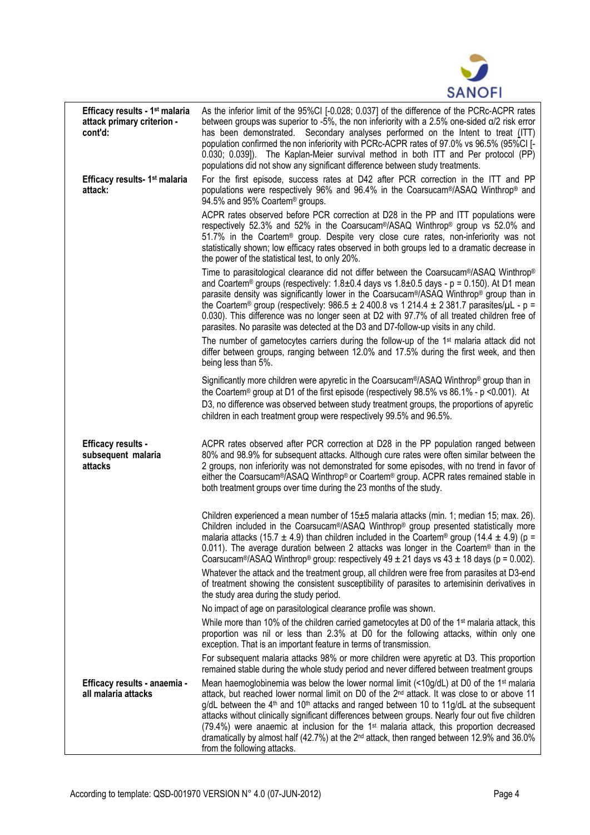

| Efficacy results - 1 <sup>st</sup> malaria<br>attack primary criterion -<br>cont'd: | As the inferior limit of the 95%CI [-0.028; 0.037] of the difference of the PCRc-ACPR rates<br>between groups was superior to -5%, the non inferiority with a 2.5% one-sided $\alpha/2$ risk error<br>has been demonstrated. Secondary analyses performed on the Intent to treat (ITT)<br>population confirmed the non inferiority with PCRc-ACPR rates of 97.0% vs 96.5% (95%CI [-<br>0.030; 0.039]). The Kaplan-Meier survival method in both ITT and Per protocol (PP)<br>populations did not show any significant difference between study treatments.                                                                                                                               |
|-------------------------------------------------------------------------------------|------------------------------------------------------------------------------------------------------------------------------------------------------------------------------------------------------------------------------------------------------------------------------------------------------------------------------------------------------------------------------------------------------------------------------------------------------------------------------------------------------------------------------------------------------------------------------------------------------------------------------------------------------------------------------------------|
| Efficacy results- 1 <sup>st</sup> malaria<br>attack:                                | For the first episode, success rates at D42 after PCR correction in the ITT and PP<br>populations were respectively 96% and 96.4% in the Coarsucam®/ASAQ Winthrop® and<br>94.5% and 95% Coartem <sup>®</sup> groups.                                                                                                                                                                                                                                                                                                                                                                                                                                                                     |
|                                                                                     | ACPR rates observed before PCR correction at D28 in the PP and ITT populations were<br>respectively 52.3% and 52% in the Coarsucam®/ASAQ Winthrop® group vs 52.0% and<br>51.7% in the Coartem® group. Despite very close cure rates, non-inferiority was not<br>statistically shown; low efficacy rates observed in both groups led to a dramatic decrease in<br>the power of the statistical test, to only 20%.                                                                                                                                                                                                                                                                         |
|                                                                                     | Time to parasitological clearance did not differ between the Coarsucam®/ASAQ Winthrop®<br>and Coartem® groups (respectively: $1.8 \pm 0.4$ days vs $1.8 \pm 0.5$ days - p = 0.150). At D1 mean<br>parasite density was significantly lower in the Coarsucam <sup>®</sup> /ASAQ Winthrop <sup>®</sup> group than in<br>the Coartem® group (respectively: 986.5 ± 2 400.8 vs 1 214.4 ± 2 381.7 parasites/ $\mu$ L - p =<br>0.030). This difference was no longer seen at D2 with 97.7% of all treated children free of<br>parasites. No parasite was detected at the D3 and D7-follow-up visits in any child.                                                                              |
|                                                                                     | The number of gametocytes carriers during the follow-up of the 1 <sup>st</sup> malaria attack did not<br>differ between groups, ranging between 12.0% and 17.5% during the first week, and then<br>being less than 5%.                                                                                                                                                                                                                                                                                                                                                                                                                                                                   |
|                                                                                     | Significantly more children were apyretic in the Coarsucam®/ASAQ Winthrop® group than in<br>the Coartem® group at D1 of the first episode (respectively $98.5\%$ vs $86.1\%$ - p <0.001). At<br>D3, no difference was observed between study treatment groups, the proportions of apyretic<br>children in each treatment group were respectively 99.5% and 96.5%.                                                                                                                                                                                                                                                                                                                        |
| <b>Efficacy results -</b><br>subsequent malaria<br>attacks                          | ACPR rates observed after PCR correction at D28 in the PP population ranged between<br>80% and 98.9% for subsequent attacks. Although cure rates were often similar between the<br>2 groups, non inferiority was not demonstrated for some episodes, with no trend in favor of<br>either the Coarsucam <sup>®</sup> /ASAQ Winthrop <sup>®</sup> or Coartem® group. ACPR rates remained stable in<br>both treatment groups over time during the 23 months of the study.                                                                                                                                                                                                                   |
|                                                                                     | Children experienced a mean number of 15±5 malaria attacks (min. 1; median 15; max. 26).<br>Children included in the Coarsucam®/ASAQ Winthrop® group presented statistically more<br>malaria attacks (15.7 $\pm$ 4.9) than children included in the Coartem <sup>®</sup> group (14.4 $\pm$ 4.9) (p =<br>0.011). The average duration between 2 attacks was longer in the Coartem <sup>®</sup> than in the<br>Coarsucam <sup>®</sup> /ASAQ Winthrop <sup>®</sup> group: respectively $49 \pm 21$ days vs $43 \pm 18$ days (p = 0.002).                                                                                                                                                    |
|                                                                                     | Whatever the attack and the treatment group, all children were free from parasites at D3-end<br>of treatment showing the consistent susceptibility of parasites to artemisinin derivatives in<br>the study area during the study period.                                                                                                                                                                                                                                                                                                                                                                                                                                                 |
|                                                                                     | No impact of age on parasitological clearance profile was shown.                                                                                                                                                                                                                                                                                                                                                                                                                                                                                                                                                                                                                         |
|                                                                                     | While more than 10% of the children carried gametocytes at D0 of the 1 <sup>st</sup> malaria attack, this<br>proportion was nil or less than 2.3% at D0 for the following attacks, within only one<br>exception. That is an important feature in terms of transmission.                                                                                                                                                                                                                                                                                                                                                                                                                  |
|                                                                                     | For subsequent malaria attacks 98% or more children were apyretic at D3. This proportion<br>remained stable during the whole study period and never differed between treatment groups                                                                                                                                                                                                                                                                                                                                                                                                                                                                                                    |
| Efficacy results - anaemia -<br>all malaria attacks                                 | Mean haemoglobinemia was below the lower normal limit (<10g/dL) at D0 of the 1 <sup>st</sup> malaria<br>attack, but reached lower normal limit on D0 of the 2 <sup>nd</sup> attack. It was close to or above 11<br>$g/dL$ between the 4 <sup>th</sup> and 10 <sup>th</sup> attacks and ranged between 10 to 11g/dL at the subsequent<br>attacks without clinically significant differences between groups. Nearly four out five children<br>(79.4%) were anaemic at inclusion for the 1 <sup>st</sup> malaria attack, this proportion decreased<br>dramatically by almost half (42.7%) at the 2 <sup>nd</sup> attack, then ranged between 12.9% and 36.0%<br>from the following attacks. |